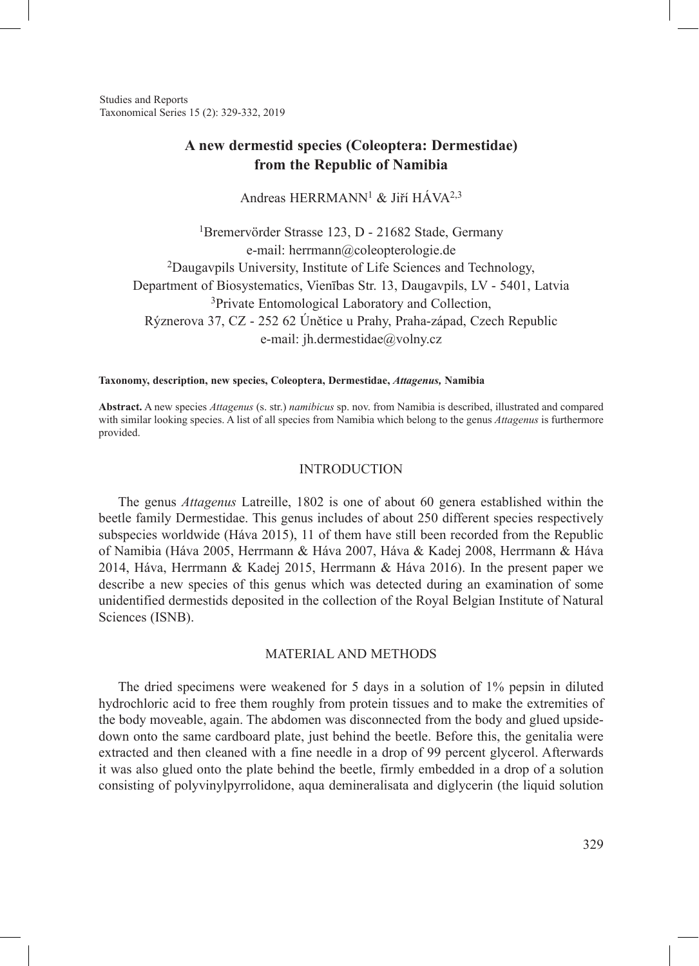Studies and Reports Taxonomical Series 15 (2): 329-332, 2019

# **A new dermestid species (Coleoptera: Dermestidae) from the Republic of Namibia**

Andreas HERRMANN<sup>1</sup> & Jiří HÁVA<sup>2,3</sup>

1Bremervörder Strasse 123, D - 21682 Stade, Germany e-mail: herrmann@coleopterologie.de 2Daugavpils University, Institute of Life Sciences and Technology, Department of Biosystematics, Vienības Str. 13, Daugavpils, LV - 5401, Latvia <sup>3</sup>Private Entomological Laboratory and Collection, Rýznerova 37, CZ - 252 62 Únětice u Prahy, Praha-západ, Czech Republic e-mail: jh.dermestidae@volny.cz

#### **Taxonomy, description, new species, Coleoptera, Dermestidae,** *Attagenus,* **Namibia**

**Abstract.** A new species *Attagenus* (s. str.) *namibicus* sp. nov. from Namibia is described, illustrated and compared with similar looking species. A list of all species from Namibia which belong to the genus *Attagenus* is furthermore provided.

### INTRODUCTION

The genus *Attagenus* Latreille, 1802 is one of about 60 genera established within the beetle family Dermestidae. This genus includes of about 250 different species respectively subspecies worldwide (Háva 2015), 11 of them have still been recorded from the Republic of Namibia (Háva 2005, Herrmann & Háva 2007, Háva & Kadej 2008, Herrmann & Háva 2014, Háva, Herrmann & Kadej 2015, Herrmann & Háva 2016). In the present paper we describe a new species of this genus which was detected during an examination of some unidentified dermestids deposited in the collection of the Royal Belgian Institute of Natural Sciences (ISNB).

#### MATERIAL AND METHODS

The dried specimens were weakened for 5 days in a solution of 1% pepsin in diluted hydrochloric acid to free them roughly from protein tissues and to make the extremities of the body moveable, again. The abdomen was disconnected from the body and glued upsidedown onto the same cardboard plate, just behind the beetle. Before this, the genitalia were extracted and then cleaned with a fine needle in a drop of 99 percent glycerol. Afterwards it was also glued onto the plate behind the beetle, firmly embedded in a drop of a solution consisting of polyvinylpyrrolidone, aqua demineralisata and diglycerin (the liquid solution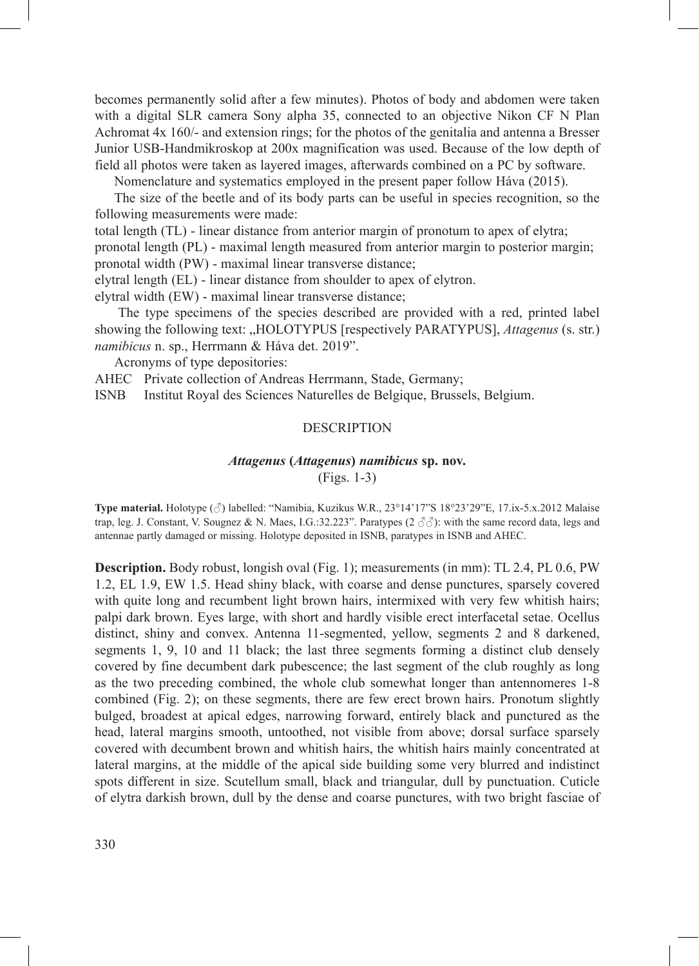becomes permanently solid after a few minutes). Photos of body and abdomen were taken with a digital SLR camera Sony alpha 35, connected to an objective Nikon CF N Plan Achromat 4x 160/- and extension rings; for the photos of the genitalia and antenna a Bresser Junior USB-Handmikroskop at 200x magnification was used. Because of the low depth of field all photos were taken as layered images, afterwards combined on a PC by software.

Nomenclature and systematics employed in the present paper follow Háva (2015).

The size of the beetle and of its body parts can be useful in species recognition, so the following measurements were made:

total length (TL) - linear distance from anterior margin of pronotum to apex of elytra;

pronotal length (PL) - maximal length measured from anterior margin to posterior margin; pronotal width (PW) - maximal linear transverse distance;

elytral length (EL) - linear distance from shoulder to apex of elytron.

elytral width (EW) - maximal linear transverse distance;

The type specimens of the species described are provided with a red, printed label showing the following text: "HOLOTYPUS [respectively PARATYPUS], *Attagenus* (s. str.) *namibicus* n. sp., Herrmann & Háva det. 2019".

Acronyms of type depositories:

AHEC Private collection of Andreas Herrmann, Stade, Germany;

ISNB Institut Royal des Sciences Naturelles de Belgique, Brussels, Belgium.

### **DESCRIPTION**

### *Attagenus* **(***Attagenus***)** *namibicus* **sp. nov.**

(Figs. 1-3)

**Type material.** Holotype (♂) labelled: "Namibia, Kuzikus W.R., 23°14'17"S 18°23'29"E, 17.ix-5.x.2012 Malaise trap, leg. J. Constant, V. Sougnez & N. Maes, I.G.:32.223". Paratypes (2  $\partial \partial$ ): with the same record data, legs and antennae partly damaged or missing. Holotype deposited in ISNB, paratypes in ISNB and AHEC.

**Description.** Body robust, longish oval (Fig. 1); measurements (in mm): TL 2.4, PL 0.6, PW 1.2, EL 1.9, EW 1.5. Head shiny black, with coarse and dense punctures, sparsely covered with quite long and recumbent light brown hairs, intermixed with very few whitish hairs; palpi dark brown. Eyes large, with short and hardly visible erect interfacetal setae. Ocellus distinct, shiny and convex. Antenna 11-segmented, yellow, segments 2 and 8 darkened, segments 1, 9, 10 and 11 black; the last three segments forming a distinct club densely covered by fine decumbent dark pubescence; the last segment of the club roughly as long as the two preceding combined, the whole club somewhat longer than antennomeres 1-8 combined (Fig. 2); on these segments, there are few erect brown hairs. Pronotum slightly bulged, broadest at apical edges, narrowing forward, entirely black and punctured as the head, lateral margins smooth, untoothed, not visible from above; dorsal surface sparsely covered with decumbent brown and whitish hairs, the whitish hairs mainly concentrated at lateral margins, at the middle of the apical side building some very blurred and indistinct spots different in size. Scutellum small, black and triangular, dull by punctuation. Cuticle of elytra darkish brown, dull by the dense and coarse punctures, with two bright fasciae of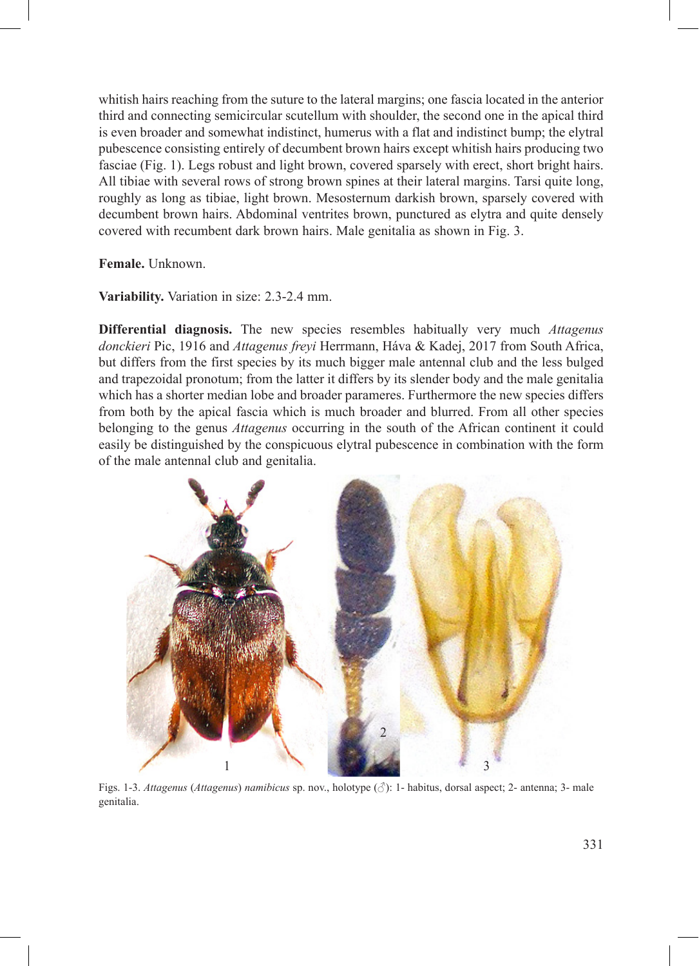whitish hairs reaching from the suture to the lateral margins; one fascia located in the anterior third and connecting semicircular scutellum with shoulder, the second one in the apical third is even broader and somewhat indistinct, humerus with a flat and indistinct bump; the elytral pubescence consisting entirely of decumbent brown hairs except whitish hairs producing two fasciae (Fig. 1). Legs robust and light brown, covered sparsely with erect, short bright hairs. All tibiae with several rows of strong brown spines at their lateral margins. Tarsi quite long, roughly as long as tibiae, light brown. Mesosternum darkish brown, sparsely covered with decumbent brown hairs. Abdominal ventrites brown, punctured as elytra and quite densely covered with recumbent dark brown hairs. Male genitalia as shown in Fig. 3.

**Female.** Unknown.

**Variability.** Variation in size: 2.3-2.4 mm.

**Differential diagnosis.** The new species resembles habitually very much *Attagenus donckieri* Pic, 1916 and *Attagenus freyi* Herrmann, Háva & Kadej, 2017 from South Africa, but differs from the first species by its much bigger male antennal club and the less bulged and trapezoidal pronotum; from the latter it differs by its slender body and the male genitalia which has a shorter median lobe and broader parameres. Furthermore the new species differs from both by the apical fascia which is much broader and blurred. From all other species belonging to the genus *Attagenus* occurring in the south of the African continent it could easily be distinguished by the conspicuous elytral pubescence in combination with the form of the male antennal club and genitalia.



Figs. 1-3. *Attagenus* (*Attagenus*) *namibicus* sp. nov., holotype (♂): 1- habitus, dorsal aspect; 2- antenna; 3- male genitalia.